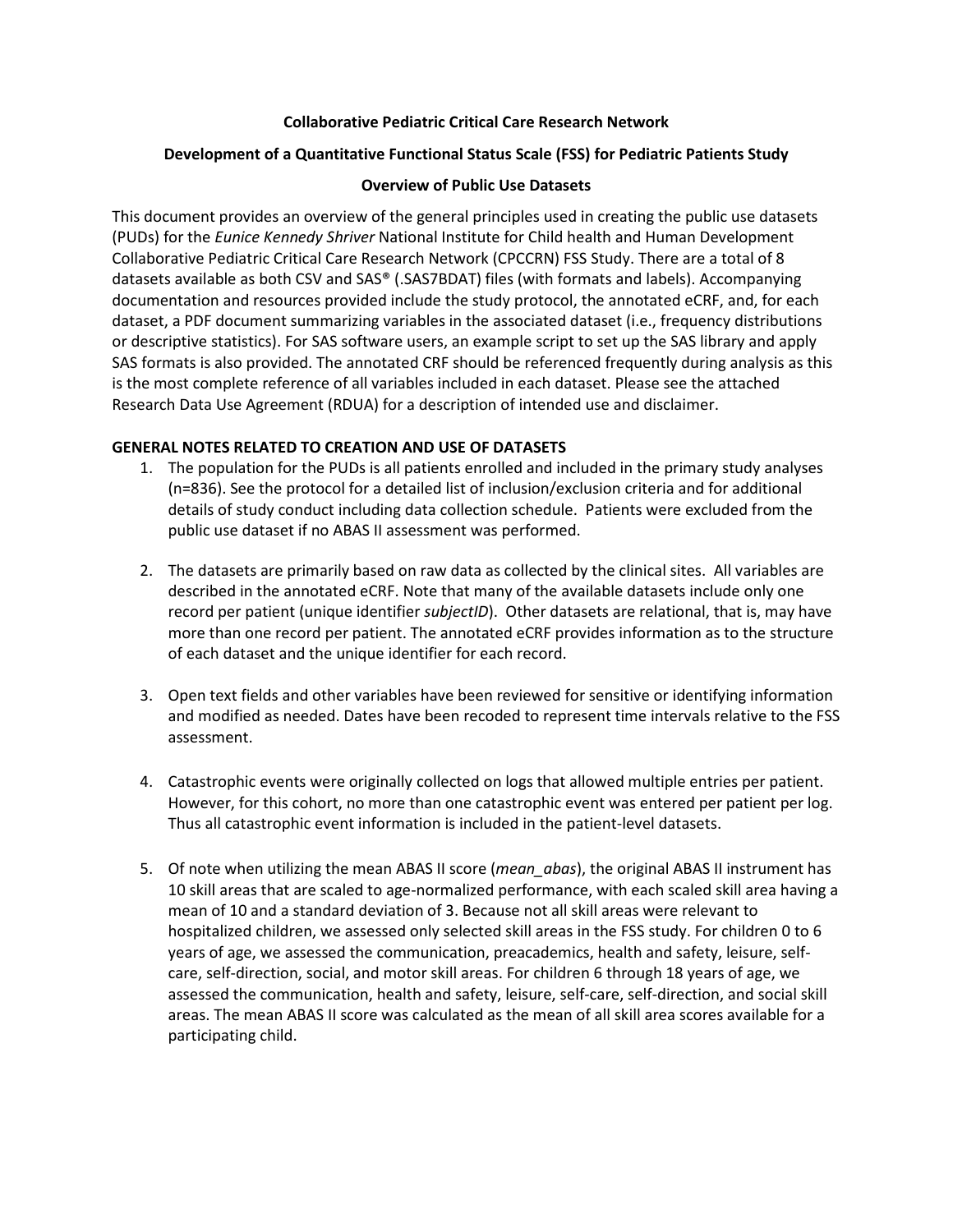## **Collaborative Pediatric Critical Care Research Network**

### **Development of a Quantitative Functional Status Scale (FSS) for Pediatric Patients Study**

#### **Overview of Public Use Datasets**

This document provides an overview of the general principles used in creating the public use datasets (PUDs) for the *Eunice Kennedy Shriver* National Institute for Child health and Human Development Collaborative Pediatric Critical Care Research Network (CPCCRN) FSS Study. There are a total of 8 datasets available as both CSV and SAS® (.SAS7BDAT) files (with formats and labels). Accompanying documentation and resources provided include the study protocol, the annotated eCRF, and, for each dataset, a PDF document summarizing variables in the associated dataset (i.e., frequency distributions or descriptive statistics). For SAS software users, an example script to set up the SAS library and apply SAS formats is also provided. The annotated CRF should be referenced frequently during analysis as this is the most complete reference of all variables included in each dataset. Please see the attached Research Data Use Agreement (RDUA) for a description of intended use and disclaimer.

#### **GENERAL NOTES RELATED TO CREATION AND USE OF DATASETS**

- 1. The population for the PUDs is all patients enrolled and included in the primary study analyses (n=836). See the protocol for a detailed list of inclusion/exclusion criteria and for additional details of study conduct including data collection schedule. Patients were excluded from the public use dataset if no ABAS II assessment was performed.
- 2. The datasets are primarily based on raw data as collected by the clinical sites. All variables are described in the annotated eCRF. Note that many of the available datasets include only one record per patient (unique identifier *subjectID*). Other datasets are relational, that is, may have more than one record per patient. The annotated eCRF provides information as to the structure of each dataset and the unique identifier for each record.
- 3. Open text fields and other variables have been reviewed for sensitive or identifying information and modified as needed. Dates have been recoded to represent time intervals relative to the FSS assessment.
- 4. Catastrophic events were originally collected on logs that allowed multiple entries per patient. However, for this cohort, no more than one catastrophic event was entered per patient per log. Thus all catastrophic event information is included in the patient-level datasets.
- 5. Of note when utilizing the mean ABAS II score (*mean\_abas*), the original ABAS II instrument has 10 skill areas that are scaled to age-normalized performance, with each scaled skill area having a mean of 10 and a standard deviation of 3. Because not all skill areas were relevant to hospitalized children, we assessed only selected skill areas in the FSS study. For children 0 to 6 years of age, we assessed the communication, preacademics, health and safety, leisure, selfcare, self-direction, social, and motor skill areas. For children 6 through 18 years of age, we assessed the communication, health and safety, leisure, self-care, self-direction, and social skill areas. The mean ABAS II score was calculated as the mean of all skill area scores available for a participating child.